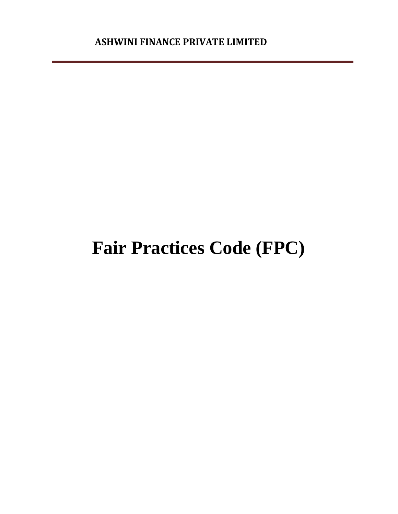# **Fair Practices Code (FPC)**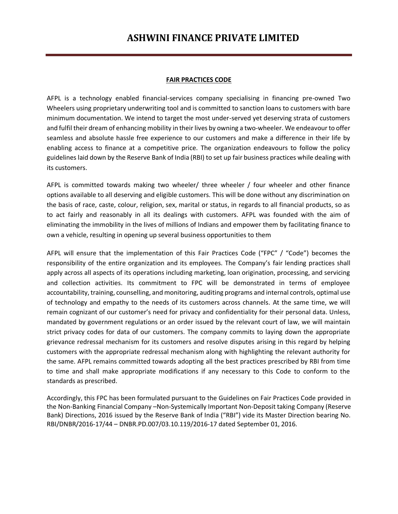#### **FAIR PRACTICES CODE**

AFPL is a technology enabled financial-services company specialising in financing pre-owned Two Wheelers using proprietary underwriting tool and is committed to sanction loans to customers with bare minimum documentation. We intend to target the most under-served yet deserving strata of customers and fulfil their dream of enhancing mobility in their lives by owning a two-wheeler. We endeavour to offer seamless and absolute hassle free experience to our customers and make a difference in their life by enabling access to finance at a competitive price. The organization endeavours to follow the policy guidelines laid down by the Reserve Bank of India (RBI) to set up fair business practices while dealing with its customers.

AFPL is committed towards making two wheeler/ three wheeler / four wheeler and other finance options available to all deserving and eligible customers. This will be done without any discrimination on the basis of race, caste, colour, religion, sex, marital or status, in regards to all financial products, so as to act fairly and reasonably in all its dealings with customers. AFPL was founded with the aim of eliminating the immobility in the lives of millions of Indians and empower them by facilitating finance to own a vehicle, resulting in opening up several business opportunities to them

AFPL will ensure that the implementation of this Fair Practices Code ("FPC" / "Code") becomes the responsibility of the entire organization and its employees. The Company's fair lending practices shall apply across all aspects of its operations including marketing, loan origination, processing, and servicing and collection activities. Its commitment to FPC will be demonstrated in terms of employee accountability, training, counselling, and monitoring, auditing programs and internal controls, optimal use of technology and empathy to the needs of its customers across channels. At the same time, we will remain cognizant of our customer's need for privacy and confidentiality for their personal data. Unless, mandated by government regulations or an order issued by the relevant court of law, we will maintain strict privacy codes for data of our customers. The company commits to laying down the appropriate grievance redressal mechanism for its customers and resolve disputes arising in this regard by helping customers with the appropriate redressal mechanism along with highlighting the relevant authority for the same. AFPL remains committed towards adopting all the best practices prescribed by RBI from time to time and shall make appropriate modifications if any necessary to this Code to conform to the standards as prescribed.

Accordingly, this FPC has been formulated pursuant to the Guidelines on Fair Practices Code provided in the Non-Banking Financial Company –Non-Systemically Important Non-Deposit taking Company (Reserve Bank) Directions, 2016 issued by the Reserve Bank of India ("RBI") vide its Master Direction bearing No. RBI/DNBR/2016-17/44 – DNBR.PD.007/03.10.119/2016-17 dated September 01, 2016.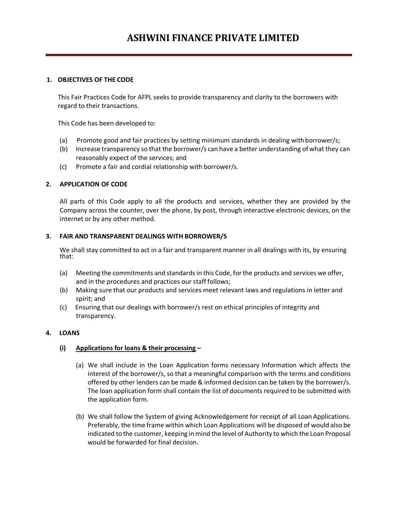## **1. OBJECTIVES OF THE CODE**

This Fair Practices Code for AFPL seeks to provide transparency and clarity to the borrowers with regard to their transactions.

This Code has been developed to:

- (a) Promote good and fair practices by setting minimum standards in dealing with borrower/s;
- (b) Increase transparency so that the borrower/s can have a better understanding of what they can reasonably expect of the services; and
- (c) Promote a fair and cordial relationship with borrower/s.

#### **2. APPLICATION OF CODE**

All parts of this Code apply to all the products and services, whether they are provided by the Company across the counter, over the phone, by post, through interactive electronic devices, on the internet or by any other method.

#### **3. FAIR AND TRANSPARENT DEALINGS WITH BORROWER/S**

We shall stay committed to act in a fair and transparent manner in all dealings with its, by ensuring that:

- (a) Meeting the commitments and standards in this Code, forthe products and services we offer, and in the procedures and practices our staff follows;
- (b) Making sure that our products and services meet relevant laws and regulations in letter and spirit; and
- (c) Ensuring that our dealings with borrower/s rest on ethical principles of integrity and transparency.

#### **4. LOANS**

## **(i) Applications for loans & their processing –**

- (a) We shall include in the Loan Application forms necessary Information which affects the interest of the borrower/s, so that a meaningful comparison with the terms and conditions offered by other lenders can be made & informed decision can be taken by the borrower/s. The loan application form shall contain the list of documents required to be submitted with the application form.
- (b) We shall follow the System of giving Acknowledgement for receipt of all Loan Applications. Preferably, the time frame within which Loan Applications will be disposed of would also be indicated to the customer, keeping inmind the level of Authority to which the Loan Proposal would be forwarded for final decision.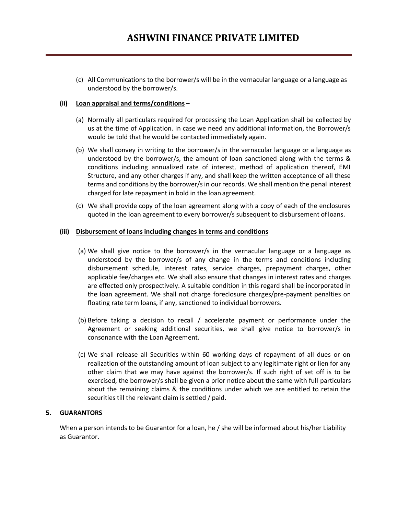(c) All Communications to the borrower/s will be in the vernacular language or a language as understood by the borrower/s.

## **(ii) Loan appraisal and terms/conditions –**

- (a) Normally all particulars required for processing the Loan Application shall be collected by us at the time of Application. In case we need any additional information, the Borrower/s would be told that he would be contacted immediately again.
- (b) We shall convey in writing to the borrower/s in the vernacular language or a language as understood by the borrower/s, the amount of loan sanctioned along with the terms & conditions including annualized rate of interest, method of application thereof, EMI Structure, and any other charges if any, and shall keep the written acceptance of all these terms and conditions by the borrower/sin our records. We shall mention the penal interest charged for late repayment in bold in the loan agreement.
- (c) We shall provide copy of the loan agreement along with a copy of each of the enclosures quoted in the loan agreement to every borrower/s subsequent to disbursement ofloans.

## **(iii) Disbursement of loans including changes in terms and conditions**

- (a) We shall give notice to the borrower/s in the vernacular language or a language as understood by the borrower/s of any change in the terms and conditions including disbursement schedule, interest rates, service charges, prepayment charges, other applicable fee/charges etc. We shall also ensure that changes in interest rates and charges are effected only prospectively. A suitable condition in this regard shall be incorporated in the loan agreement. We shall not charge foreclosure charges/pre-payment penalties on floating rate term loans, if any, sanctioned to individual borrowers.
- (b) Before taking a decision to recall / accelerate payment or performance under the Agreement or seeking additional securities, we shall give notice to borrower/s in consonance with the Loan Agreement.
- (c) We shall release all Securities within 60 working days of repayment of all dues or on realization of the outstanding amount of loan subject to any legitimate right or lien for any other claim that we may have against the borrower/s. If such right of set off is to be exercised, the borrower/s shall be given a prior notice about the same with full particulars about the remaining claims & the conditions under which we are entitled to retain the securities till the relevant claim is settled / paid.

## **5. GUARANTORS**

When a person intends to be Guarantor for a loan, he / she will be informed about his/her Liability as Guarantor.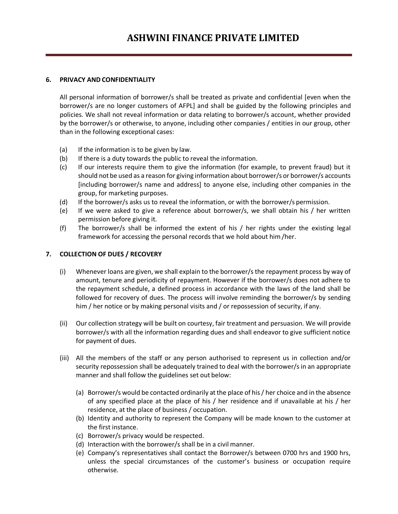## **6. PRIVACY AND CONFIDENTIALITY**

All personal information of borrower/s shall be treated as private and confidential [even when the borrower/s are no longer customers of AFPL] and shall be guided by the following principles and policies. We shall not reveal information or data relating to borrower/s account, whether provided by the borrower/s or otherwise, to anyone, including other companies / entities in our group, other than in the following exceptional cases:

- (a) If the information is to be given by law.
- (b) If there is a duty towards the public to reveal the information.
- (c) If our interests require them to give the information (for example, to prevent fraud) but it should not be used as a reason for giving information about borrower/s or borrower/s accounts [including borrower/s name and address] to anyone else, including other companies in the group, for marketing purposes.
- (d) If the borrower/s asks us to reveal the information, or with the borrower/s permission.
- (e) If we were asked to give a reference about borrower/s, we shall obtain his / her written permission before giving it.
- (f) The borrower/s shall be informed the extent of his / her rights under the existing legal framework for accessing the personal records that we hold about him /her.

# **7. COLLECTION OF DUES / RECOVERY**

- (i) Whenever loans are given, we shall explain to the borrower/s the repayment process by way of amount, tenure and periodicity of repayment. However if the borrower/s does not adhere to the repayment schedule, a defined process in accordance with the laws of the land shall be followed for recovery of dues. The process will involve reminding the borrower/s by sending him / her notice or by making personal visits and / or repossession of security, if any.
- (ii) Our collection strategy will be built on courtesy, fair treatment and persuasion. We will provide borrower/s with all the information regarding dues and shall endeavor to give sufficient notice for payment of dues.
- (iii) All the members of the staff or any person authorised to represent us in collection and/or security repossession shall be adequately trained to deal with the borrower/s in an appropriate manner and shall follow the guidelines set out below:
	- (a) Borrower/s would be contacted ordinarily atthe place of his/ her choice and in the absence of any specified place at the place of his / her residence and if unavailable at his / her residence, at the place of business / occupation.
	- (b) Identity and authority to represent the Company will be made known to the customer at the first instance.
	- (c) Borrower/s privacy would be respected.
	- (d) Interaction with the borrower/s shall be in a civil manner.
	- (e) Company's representatives shall contact the Borrower/s between 0700 hrs and 1900 hrs, unless the special circumstances of the customer's business or occupation require otherwise.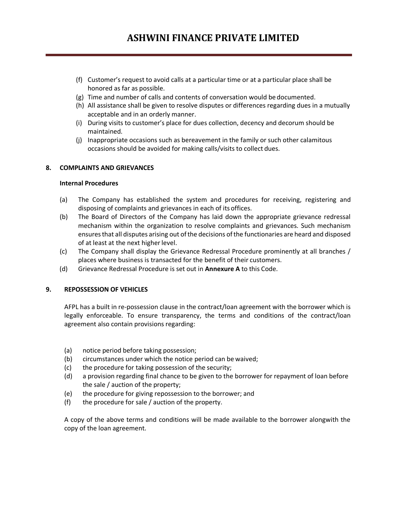- (f) Customer's request to avoid calls at a particular time or at a particular place shall be honored as far as possible.
- (g) Time and number of calls and contents of conversation would be documented.
- (h) All assistance shall be given to resolve disputes or differences regarding dues in a mutually acceptable and in an orderly manner.
- (i) During visits to customer's place for dues collection, decency and decorum should be maintained.
- (j) Inappropriate occasions such as bereavement in the family or such other calamitous occasions should be avoided for making calls/visits to collect dues.

#### **8. COMPLAINTS AND GRIEVANCES**

#### **Internal Procedures**

- (a) The Company has established the system and procedures for receiving, registering and disposing of complaints and grievances in each of its offices.
- (b) The Board of Directors of the Company has laid down the appropriate grievance redressal mechanism within the organization to resolve complaints and grievances. Such mechanism ensuresthat all disputes arising out ofthe decisions ofthe functionaries are heard and disposed of at least at the next higher level.
- (c) The Company shall display the Grievance Redressal Procedure prominently at all branches / places where business is transacted for the benefit of their customers.
- (d) Grievance Redressal Procedure is set out in **Annexure A** to this Code.

#### **9. REPOSSESSION OF VEHICLES**

AFPL has a built in re-possession clause in the contract/loan agreement with the borrower which is legally enforceable. To ensure transparency, the terms and conditions of the contract/loan agreement also contain provisions regarding:

- (a) notice period before taking possession;
- (b) circumstances under which the notice period can be waived;
- (c) the procedure for taking possession of the security;
- (d) a provision regarding final chance to be given to the borrower for repayment of loan before the sale / auction of the property;
- (e) the procedure for giving repossession to the borrower; and
- (f) the procedure for sale / auction of the property.

A copy of the above terms and conditions will be made available to the borrower alongwith the copy of the loan agreement.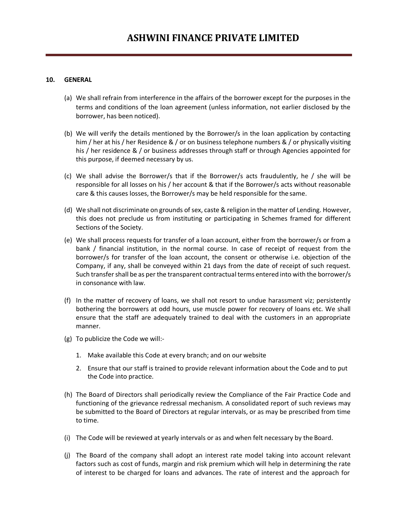## **10. GENERAL**

- (a) We shall refrain from interference in the affairs of the borrower except for the purposes in the terms and conditions of the loan agreement (unless information, not earlier disclosed by the borrower, has been noticed).
- (b) We will verify the details mentioned by the Borrower/s in the loan application by contacting him / her at his / her Residence & / or on business telephone numbers & / or physically visiting his / her residence & / or business addresses through staff or through Agencies appointed for this purpose, if deemed necessary by us.
- (c) We shall advise the Borrower/s that if the Borrower/s acts fraudulently, he / she will be responsible for all losses on his / her account & that if the Borrower/s acts without reasonable care & this causes losses, the Borrower/s may be held responsible for the same.
- (d) We shall not discriminate on grounds of sex, caste & religion in the matter of Lending. However, this does not preclude us from instituting or participating in Schemes framed for different Sections of the Society.
- (e) We shall process requests for transfer of a loan account, either from the borrower/s or from a bank / financial institution, in the normal course. In case of receipt of request from the borrower/s for transfer of the loan account, the consent or otherwise i.e. objection of the Company, if any, shall be conveyed within 21 days from the date of receipt of such request. Such transfer shall be as per the transparent contractual terms entered into with the borrower/s in consonance with law.
- (f) In the matter of recovery of loans, we shall not resort to undue harassment viz; persistently bothering the borrowers at odd hours, use muscle power for recovery of loans etc. We shall ensure that the staff are adequately trained to deal with the customers in an appropriate manner.
- (g) To publicize the Code we will:-
	- 1. Make available this Code at every branch; and on our website
	- 2. Ensure that our staff is trained to provide relevant information about the Code and to put the Code into practice.
- (h) The Board of Directors shall periodically review the Compliance of the Fair Practice Code and functioning of the grievance redressal mechanism. A consolidated report of such reviews may be submitted to the Board of Directors at regular intervals, or as may be prescribed from time to time.
- (i) The Code will be reviewed at yearly intervals or as and when felt necessary by the Board.
- (j) The Board of the company shall adopt an interest rate model taking into account relevant factors such as cost of funds, margin and risk premium which will help in determining the rate of interest to be charged for loans and advances. The rate of interest and the approach for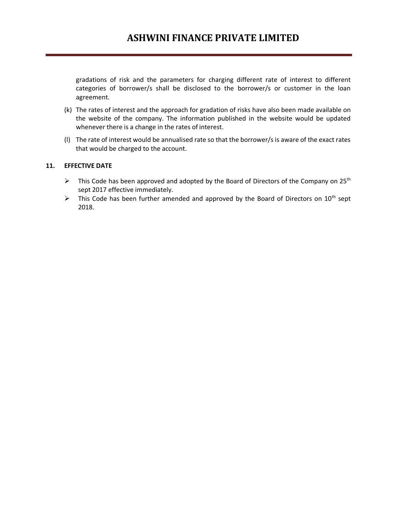gradations of risk and the parameters for charging different rate of interest to different categories of borrower/s shall be disclosed to the borrower/s or customer in the loan agreement.

- (k) The rates of interest and the approach for gradation of risks have also been made available on the website of the company. The information published in the website would be updated whenever there is a change in the rates of interest.
- (l) The rate of interest would be annualised rate so that the borrower/s is aware of the exact rates that would be charged to the account.

# **11. EFFECTIVE DATE**

- $\triangleright$  This Code has been approved and adopted by the Board of Directors of the Company on 25<sup>th</sup> sept 2017 effective immediately.
- $\triangleright$  This Code has been further amended and approved by the Board of Directors on 10<sup>th</sup> sept 2018.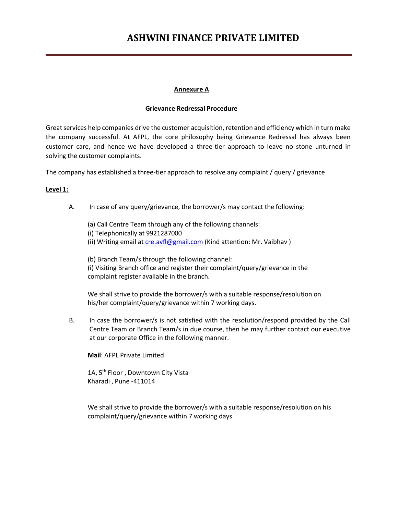#### **Annexure A**

#### **Grievance Redressal Procedure**

Great services help companies drive the customer acquisition, retention and efficiency which in turn make the company successful. At AFPL, the core philosophy being Grievance Redressal has always been customer care, and hence we have developed a three-tier approach to leave no stone unturned in solving the customer complaints.

The company has established a three-tier approach to resolve any complaint / query / grievance

## **Level 1:**

- A. In case of any query/grievance, the borrower/s may contact the following:
	- (a) Call Centre Team through any of the following channels: (i) Telephonically at 9921287000 (ii) Writing email a[t cre.avfl@gmail.com](mailto:cre.avfl@gmail.com) (Kind attention: Mr. Vaibhav)

(b) Branch Team/s through the following channel: (i) Visiting Branch office and register their complaint/query/grievance in the complaint register available in the branch.

We shall strive to provide the borrower/s with a suitable response/resolution on his/her complaint/query/grievance within 7 working days.

B. In case the borrower/s is not satisfied with the resolution/respond provided by the Call Centre Team or Branch Team/s in due course, then he may further contact our executive at our corporate Office in the following manner.

**Mail**: AFPL Private Limited

1A, 5<sup>th</sup> Floor, Downtown City Vista Kharadi , Pune -411014

We shall strive to provide the borrower/s with a suitable response/resolution on his complaint/query/grievance within 7 working days.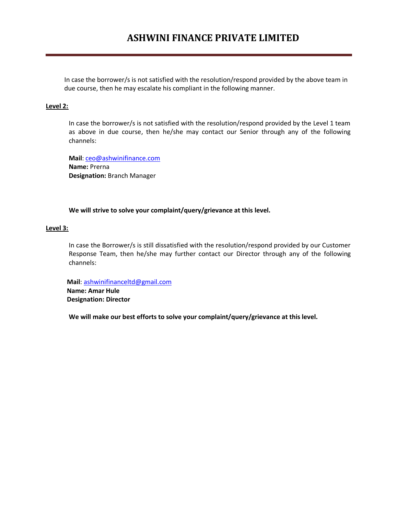In case the borrower/s is not satisfied with the resolution/respond provided by the above team in due course, then he may escalate his compliant in the following manner.

#### **Level 2:**

In case the borrower/s is not satisfied with the resolution/respond provided by the Level 1 team as above in due course, then he/she may contact our Senior through any of the following channels:

**Mail**: [ceo@ashwinifinance.com](mailto:ceo@ashwinifinance.com) **Name:** Prerna **Designation:** Branch Manager

#### **We will strive to solve your complaint/query/grievance at this level.**

#### **Level 3:**

In case the Borrower/s is still dissatisfied with the resolution/respond provided by our Customer Response Team, then he/she may further contact our Director through any of the following channels:

 **Mail**: [ashwinifinanceltd@gmail.com](mailto:ashwinifinanceltd@gmail.com)  **Name: Amar Hule Designation: Director**

**We will make our best efforts to solve your complaint/query/grievance at this level.**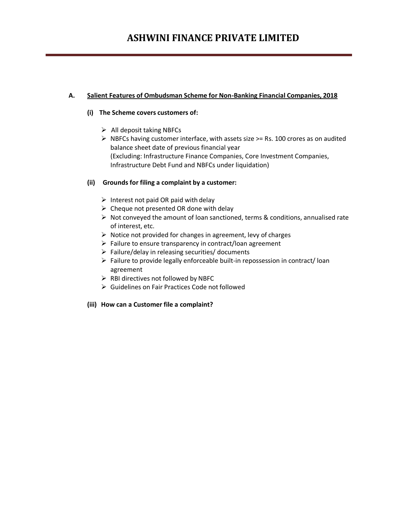# **A. Salient Features of Ombudsman Scheme for Non-Banking Financial Companies, 2018**

## **(i) The Scheme covers customers of:**

- $\triangleright$  All deposit taking NBFCs
- $\triangleright$  NBFCs having customer interface, with assets size  $\geq$ = Rs. 100 crores as on audited balance sheet date of previous financial year (Excluding: Infrastructure Finance Companies, Core Investment Companies, Infrastructure Debt Fund and NBFCs under liquidation)

## **(ii) Grounds for filing a complaint by a customer:**

- $\triangleright$  Interest not paid OR paid with delay
- $\triangleright$  Cheque not presented OR done with delay
- $\triangleright$  Not conveyed the amount of loan sanctioned, terms & conditions, annualised rate of interest, etc.
- $\triangleright$  Notice not provided for changes in agreement, levy of charges
- $\triangleright$  Failure to ensure transparency in contract/loan agreement
- $\triangleright$  Failure/delay in releasing securities/ documents
- $\triangleright$  Failure to provide legally enforceable built-in repossession in contract/loan agreement
- $\triangleright$  RBI directives not followed by NBFC
- Guidelines on Fair Practices Code not followed

## **(iii) How can a Customer file a complaint?**